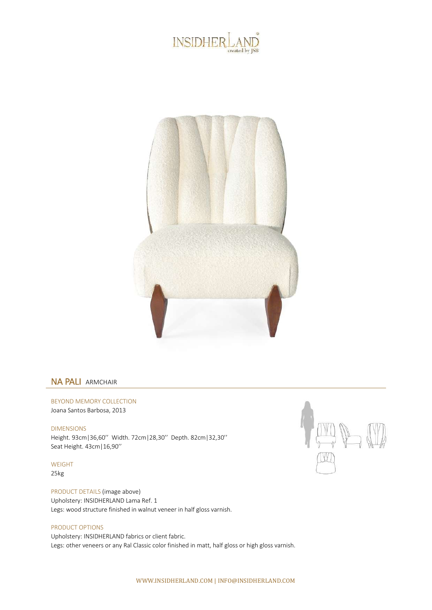



## NA PALI ARMCHAIR

BEYOND MEMORY COLLECTION Joana Santos Barbosa, 2013

DIMENSIONS Height. 93cm|36,60'' Width. 72cm|28,30'' Depth. 82cm|32,30'' Seat Height. 43cm|16,90''

WEIGHT 25kg

PRODUCT DETAILS (image above) Upholstery: INSIDHERLAND Lama Ref. 1 Legs: wood structure finished in walnut veneer in half gloss varnish.

## PRODUCT OPTIONS

Upholstery: INSIDHERLAND fabrics or client fabric. Legs: other veneers or any Ral Classic color finished in matt, half gloss or high gloss varnish.